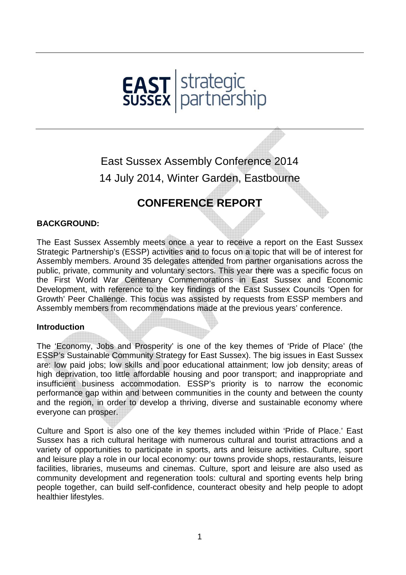

# East Sussex Assembly Conference 2014 14 July 2014, Winter Garden, Eastbourne

# **CONFERENCE REPORT**

# **BACKGROUND:**

The East Sussex Assembly meets once a year to receive a report on the East Sussex Strategic Partnership's (ESSP) activities and to focus on a topic that will be of interest for Assembly members. Around 35 delegates attended from partner organisations across the public, private, community and voluntary sectors. This year there was a specific focus on the First World War Centenary Commemorations in East Sussex and Economic Development, with reference to the key findings of the East Sussex Councils 'Open for Growth' Peer Challenge. This focus was assisted by requests from ESSP members and Assembly members from recommendations made at the previous years' conference.

#### **Introduction**

The 'Economy, Jobs and Prosperity' is one of the key themes of 'Pride of Place' (the ESSP's Sustainable Community Strategy for East Sussex). The big issues in East Sussex are: low paid jobs; low skills and poor educational attainment; low job density; areas of high deprivation, too little affordable housing and poor transport; and inappropriate and insufficient business accommodation. ESSP's priority is to narrow the economic performance gap within and between communities in the county and between the county and the region, in order to develop a thriving, diverse and sustainable economy where everyone can prosper.

Culture and Sport is also one of the key themes included within 'Pride of Place.' East Sussex has a rich cultural heritage with numerous cultural and tourist attractions and a variety of opportunities to participate in sports, arts and leisure activities. Culture, sport and leisure play a role in our local economy: our towns provide shops, restaurants, leisure facilities, libraries, museums and cinemas. Culture, sport and leisure are also used as community development and regeneration tools: cultural and sporting events help bring people together, can build self-confidence, counteract obesity and help people to adopt healthier lifestyles.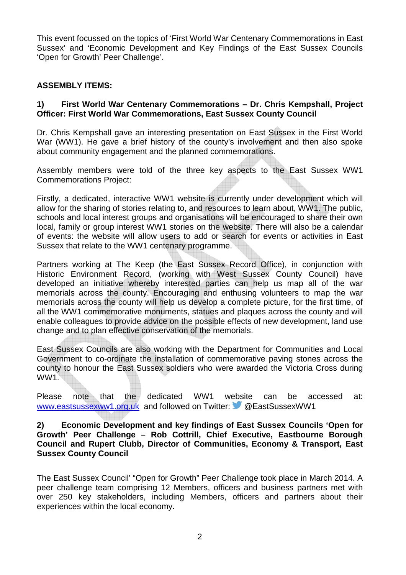This event focussed on the topics of 'First World War Centenary Commemorations in East Sussex' and 'Economic Development and Key Findings of the East Sussex Councils 'Open for Growth' Peer Challenge'.

### **ASSEMBLY ITEMS:**

### **1) First World War Centenary Commemorations – Dr. Chris Kempshall, Project Officer: First World War Commemorations, East Sussex County Council**

Dr. Chris Kempshall gave an interesting presentation on East Sussex in the First World War (WW1). He gave a brief history of the county's involvement and then also spoke about community engagement and the planned commemorations.

Assembly members were told of the three key aspects to the East Sussex WW1 Commemorations Project:

Firstly, a dedicated, interactive WW1 website is currently under development which will allow for the sharing of stories relating to, and resources to learn about, WW1. The public, schools and local interest groups and organisations will be encouraged to share their own local, family or group interest WW1 stories on the website. There will also be a calendar of events: the website will allow users to add or search for events or activities in East Sussex that relate to the WW1 centenary programme.

Partners working at The Keep (the East Sussex Record Office), in conjunction with Historic Environment Record, (working with West Sussex County Council) have developed an initiative whereby interested parties can help us map all of the war memorials across the county. Encouraging and enthusing volunteers to map the war memorials across the county will help us develop a complete picture, for the first time, of all the WW1 commemorative monuments, statues and plaques across the county and will enable colleagues to provide advice on the possible effects of new development, land use change and to plan effective conservation of the memorials.

East Sussex Councils are also working with the Department for Communities and Local Government to co-ordinate the installation of commemorative paving stones across the county to honour the East Sussex soldiers who were awarded the Victoria Cross during WW1.

Please note that the dedicated WW1 website can be accessed at: www.eastsussexww1.org.uk and followed on Twitter: @EastSussexWW1

#### **2) Economic Development and key findings of East Sussex Councils 'Open for Growth' Peer Challenge – Rob Cottrill, Chief Executive, Eastbourne Borough Council and Rupert Clubb, Director of Communities, Economy & Transport, East Sussex County Council**

The East Sussex Council' "Open for Growth" Peer Challenge took place in March 2014. A peer challenge team comprising 12 Members, officers and business partners met with over 250 key stakeholders, including Members, officers and partners about their experiences within the local economy.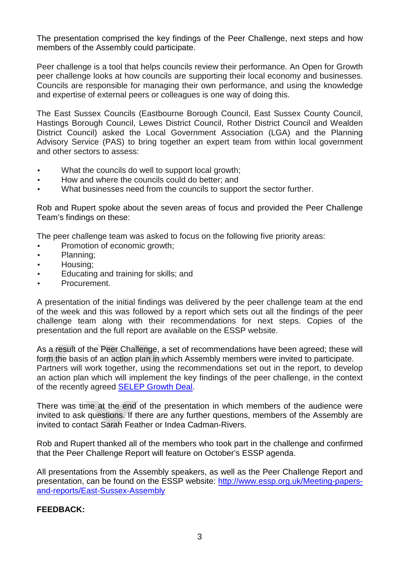The presentation comprised the key findings of the Peer Challenge, next steps and how members of the Assembly could participate.

Peer challenge is a tool that helps councils review their performance. An Open for Growth peer challenge looks at how councils are supporting their local economy and businesses. Councils are responsible for managing their own performance, and using the knowledge and expertise of external peers or colleagues is one way of doing this.

The East Sussex Councils (Eastbourne Borough Council, East Sussex County Council, Hastings Borough Council, Lewes District Council, Rother District Council and Wealden District Council) asked the Local Government Association (LGA) and the Planning Advisory Service (PAS) to bring together an expert team from within local government and other sectors to assess:

- What the councils do well to support local growth;
- How and where the councils could do better; and
- What businesses need from the councils to support the sector further.

Rob and Rupert spoke about the seven areas of focus and provided the Peer Challenge Team's findings on these:

The peer challenge team was asked to focus on the following five priority areas:

- Promotion of economic growth;
- Planning;
- Housing;
- Educating and training for skills; and
- Procurement.

A presentation of the initial findings was delivered by the peer challenge team at the end of the week and this was followed by a report which sets out all the findings of the peer challenge team along with their recommendations for next steps. Copies of the presentation and the full report are available on the ESSP website.

As a result of the Peer Challenge, a set of recommendations have been agreed; these will form the basis of an action plan in which Assembly members were invited to participate. Partners will work together, using the recommendations set out in the report, to develop an action plan which will implement the key findings of the peer challenge, in the context of the recently agreed SELEP Growth Deal.

There was time at the end of the presentation in which members of the audience were invited to ask questions. If there are any further questions, members of the Assembly are invited to contact Sarah Feather or Indea Cadman-Rivers.

Rob and Rupert thanked all of the members who took part in the challenge and confirmed that the Peer Challenge Report will feature on October's ESSP agenda.

All presentations from the Assembly speakers, as well as the Peer Challenge Report and presentation, can be found on the ESSP website: http://www.essp.org.uk/Meeting-papersand-reports/East-Sussex-Assembly

# **FEEDBACK:**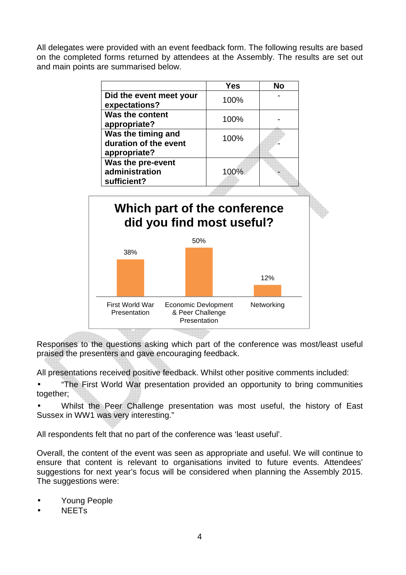All delegates were provided with an event feedback form. The following results are based on the completed forms returned by attendees at the Assembly. The results are set out and main points are summarised below.

|                                                             | Yes  | No  |
|-------------------------------------------------------------|------|-----|
| Did the event meet your<br>expectations?                    | 100% |     |
| <b>Was the content</b><br>appropriate?                      | 100% |     |
| Was the timing and<br>duration of the event<br>appropriate? | 100% |     |
| Was the pre-event<br>administration<br>sufficient?          | 100% |     |
| did you find most useful?<br>50%                            |      |     |
|                                                             |      |     |
| 38%                                                         |      |     |
|                                                             |      | 12% |

Responses to the questions asking which part of the conference was most/least useful praised the presenters and gave encouraging feedback.

All presentations received positive feedback. Whilst other positive comments included:

• "The First World War presentation provided an opportunity to bring communities together;

• Whilst the Peer Challenge presentation was most useful, the history of East Sussex in WW1 was very interesting."

All respondents felt that no part of the conference was 'least useful'.

Overall, the content of the event was seen as appropriate and useful. We will continue to ensure that content is relevant to organisations invited to future events. Attendees' suggestions for next year's focus will be considered when planning the Assembly 2015. The suggestions were:

- Young People
- NEETs